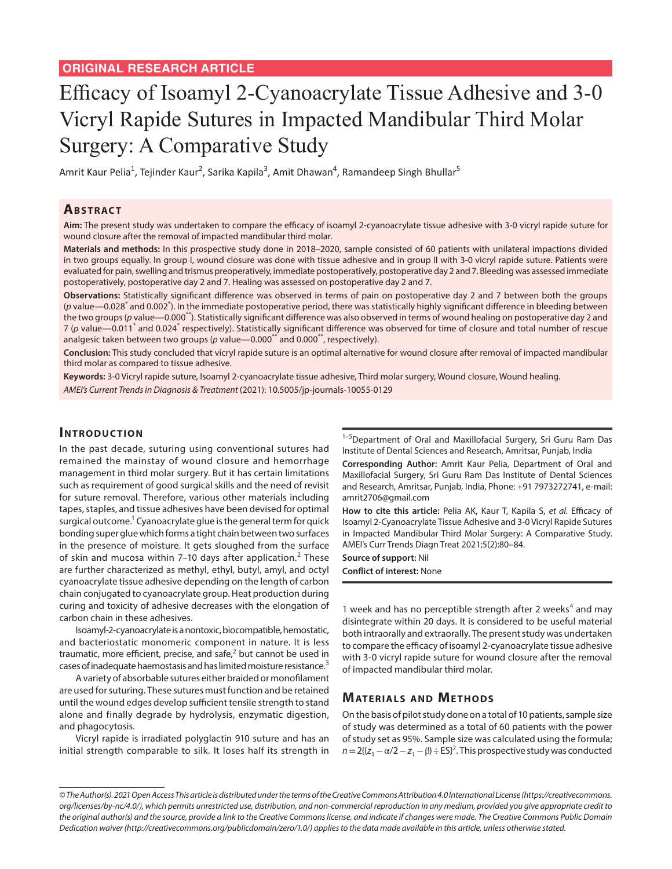# Efficacy of Isoamyl 2-Cyanoacrylate Tissue Adhesive and 3-0 Vicryl Rapide Sutures in Impacted Mandibular Third Molar Surgery: A Comparative Study

Amrit Kaur Pelia<sup>1</sup>, Tejinder Kaur<sup>2</sup>, Sarika Kapila<sup>3</sup>, Amit Dhawan<sup>4</sup>, Ramandeep Singh Bhullar<sup>5</sup>

## **ABSTRACT**

**Aim:** The present study was undertaken to compare the efficacy of isoamyl 2-cyanoacrylate tissue adhesive with 3-0 vicryl rapide suture for wound closure after the removal of impacted mandibular third molar.

**Materials and methods:** In this prospective study done in 2018–2020, sample consisted of 60 patients with unilateral impactions divided in two groups equally. In group I, wound closure was done with tissue adhesive and in group II with 3-0 vicryl rapide suture. Patients were evaluated for pain, swelling and trismus preoperatively, immediate postoperatively, postoperative day 2 and 7. Bleeding was assessed immediate postoperatively, postoperative day 2 and 7. Healing was assessed on postoperative day 2 and 7.

**Observations:** Statistically significant difference was observed in terms of pain on postoperative day 2 and 7 between both the groups (p value—0.028<sup>\*</sup> and 0.002<sup>\*</sup>). In the immediate postoperative period, there was statistically highly significant difference in bleeding between the two groups (p value—0.000<sup>\*\*</sup>). Statistically significant difference was also observed in terms of wound healing on postoperative day 2 and 7 (p value—0.011<sup>\*</sup> and 0.024<sup>\*</sup> respectively). Statistically significant difference was observed for time of closure and total number of rescue analgesic taken between two groups (*p* value—0.000<sup>\*\*</sup> and 0.000<sup>\*\*</sup>, respectively).

**Conclusion:** This study concluded that vicryl rapide suture is an optimal alternative for wound closure after removal of impacted mandibular third molar as compared to tissue adhesive.

**Keywords:** 3-0 Vicryl rapide suture, Isoamyl 2-cyanoacrylate tissue adhesive, Third molar surgery, Wound closure, Wound healing. *AMEI's Current Trends in Diagnosis & Treatment* (2021): 10.5005/jp-journals-10055-0129

# **INTRODUCTION**

In the past decade, suturing using conventional sutures had remained the mainstay of wound closure and hemorrhage management in third molar surgery. But it has certain limitations such as requirement of good surgical skills and the need of revisit for suture removal. Therefore, various other materials including tapes, staples, and tissue adhesives have been devised for optimal surgical outcome.<sup>1</sup> Cyanoacrylate glue is the general term for quick bonding super glue which forms a tight chain between two surfaces in the presence of moisture. It gets sloughed from the surface of skin and mucosa within 7–10 days after application.<sup>[2](#page-3-1)</sup> These are further characterized as methyl, ethyl, butyl, amyl, and octyl cyanoacrylate tissue adhesive depending on the length of carbon chain conjugated to cyanoacrylate group. Heat production during curing and toxicity of adhesive decreases with the elongation of carbon chain in these adhesives.

Isoamyl-2-cyanoacrylate is a nontoxic, biocompatible, hemostatic, and bacteriostatic monomeric component in nature. It is less traumatic, more efficient, precise, and safe, $^2$  $^2$  but cannot be used in cases of inadequate haemostasis and has limited moisture resistance.[3](#page-3-2)

A variety of absorbable sutures either braided or monofilament are used for suturing. These sutures must function and be retained until the wound edges develop sufficient tensile strength to stand alone and finally degrade by hydrolysis, enzymatic digestion, and phagocytosis.

Vicryl rapide is irradiated polyglactin 910 suture and has an initial strength comparable to silk. It loses half its strength in

<sup>1-5</sup>Department of Oral and Maxillofacial Surgery, Sri Guru Ram Das Institute of Dental Sciences and Research, Amritsar, Punjab, India

**Corresponding Author:** Amrit Kaur Pelia, Department of Oral and Maxillofacial Surgery, Sri Guru Ram Das Institute of Dental Sciences and Research, Amritsar, Punjab, India, Phone: +91 7973272741, e-mail: amrit2706@gmail.com

**How to cite this article:** Pelia AK, Kaur T, Kapila S, *et al.* Efficacy of Isoamyl 2-Cyanoacrylate Tissue Adhesive and 3-0 Vicryl Rapide Sutures in Impacted Mandibular Third Molar Surgery: A Comparative Study. AMEI's Curr Trends Diagn Treat 2021;5(2):80–84.

**Source of support:** Nil

**Conflict of interest:** None

1 week and has no perceptible strength after 2 weeks<sup>[4](#page-3-3)</sup> and may disintegrate within 20 days. It is considered to be useful material both intraorally and extraorally. The present study was undertaken to compare the efficacy of isoamyl 2-cyanoacrylate tissue adhesive with 3-0 vicryl rapide suture for wound closure after the removal of impacted mandibular third molar.

## **MATERIALS AND METHODS**

On the basis of pilot study done on a total of 10 patients, sample size of study was determined as a total of 60 patients with the power of study set as 95%. Sample size was calculated using the formula;  $n = 2{(\frac{z_1 - \alpha}{2} - z_1 - \beta) \div E(S)^2}$ . This prospective study was conducted

*<sup>©</sup> The Author(s). 2021 Open Access This article is distributed under the terms of the Creative Commons Attribution 4.0 International License ([https://creativecommons.](https://creativecommons. org/licenses/by-nc/4.0/) [org/licenses/by-nc/4.0/](https://creativecommons. org/licenses/by-nc/4.0/)), which permits unrestricted use, distribution, and non-commercial reproduction in any medium, provided you give appropriate credit to the original author(s) and the source, provide a link to the Creative Commons license, and indicate if changes were made. The Creative Commons Public Domain Dedication waiver ([http://creativecommons.org/publicdomain/zero/1.0/\)](http://creativecommons.org/publicdomain/zero/1.0/) applies to the data made available in this article, unless otherwise stated.*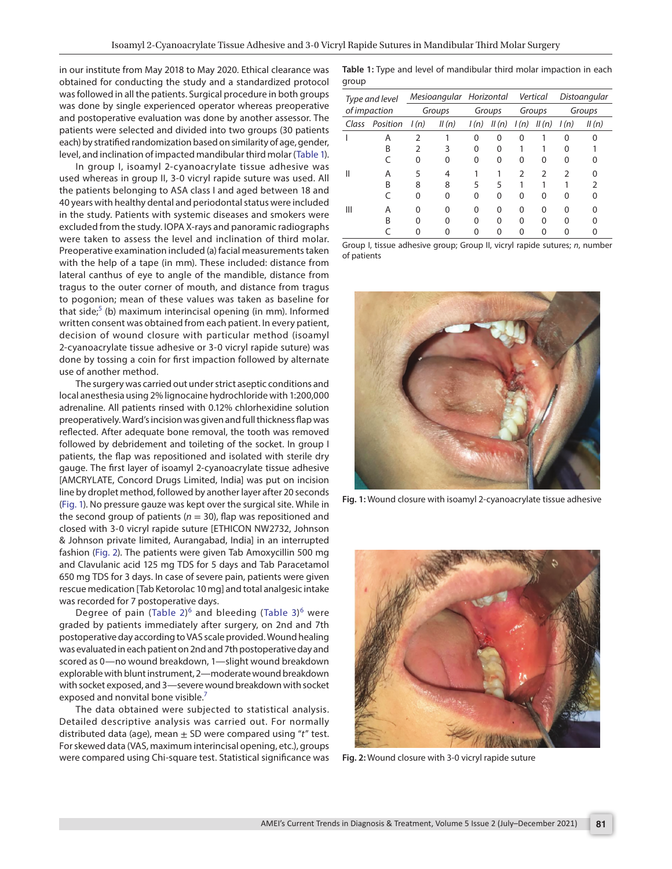in our institute from May 2018 to May 2020. Ethical clearance was obtained for conducting the study and a standardized protocol was followed in all the patients. Surgical procedure in both groups was done by single experienced operator whereas preoperative and postoperative evaluation was done by another assessor. The patients were selected and divided into two groups (30 patients each) by stratified randomization based on similarity of age, gender, level, and inclination of impacted mandibular third molar ([Table 1\)](#page-1-0).

In group I, isoamyl 2-cyanoacrylate tissue adhesive was used whereas in group II, 3-0 vicryl rapide suture was used. All the patients belonging to ASA class I and aged between 18 and 40 years with healthy dental and periodontal status were included in the study. Patients with systemic diseases and smokers were excluded from the study. IOPA X-rays and panoramic radiographs were taken to assess the level and inclination of third molar. Preoperative examination included (a) facial measurements taken with the help of a tape (in mm). These included: distance from lateral canthus of eye to angle of the mandible, distance from tragus to the outer corner of mouth, and distance from tragus to pogonion; mean of these values was taken as baseline for that side;<sup>[5](#page-3-4)</sup> (b) maximum interincisal opening (in mm). Informed written consent was obtained from each patient. In every patient, decision of wound closure with particular method (isoamyl 2-cyanoacrylate tissue adhesive or 3-0 vicryl rapide suture) was done by tossing a coin for first impaction followed by alternate use of another method.

The surgery was carried out under strict aseptic conditions and local anesthesia using 2% lignocaine hydrochloride with 1:200,000 adrenaline. All patients rinsed with 0.12% chlorhexidine solution preoperatively. Ward's incision was given and full thickness flap was reflected. After adequate bone removal, the tooth was removed followed by debridement and toileting of the socket. In group I patients, the flap was repositioned and isolated with sterile dry gauge. The first layer of isoamyl 2-cyanoacrylate tissue adhesive [AMCRYLATE, Concord Drugs Limited, India] was put on incision line by droplet method, followed by another layer after 20 seconds [\(Fig. 1\)](#page-1-1). No pressure gauze was kept over the surgical site. While in the second group of patients ( $n = 30$ ), flap was repositioned and closed with 3-0 vicryl rapide suture [ETHICON NW2732, Johnson & Johnson private limited, Aurangabad, India] in an interrupted fashion ([Fig. 2](#page-1-2)). The patients were given Tab Amoxycillin 500 mg and Clavulanic acid 125 mg TDS for 5 days and Tab Paracetamol 650 mg TDS for 3 days. In case of severe pain, patients were given rescue medication [Tab Ketorolac 10 mg] and total analgesic intake was recorded for 7 postoperative days.

Degree of pain ([Table 2\)](#page-2-0) $^6$  $^6$  and bleeding ([Table 3\)](#page-2-1) $^6$  were graded by patients immediately after surgery, on 2nd and 7th postoperative day according to VAS scale provided. Wound healing was evaluated in each patient on 2nd and 7th postoperative day and scored as 0—no wound breakdown, 1—slight wound breakdown explorable with blunt instrument, 2—moderate wound breakdown with socket exposed, and 3—severe wound breakdown with socket exposed and nonvital bone visible.<sup>[7](#page-4-1)</sup>

The data obtained were subjected to statistical analysis. Detailed descriptive analysis was carried out. For normally distributed data (age), mean ± SD were compared using "*t*" test. For skewed data (VAS, maximum interincisal opening, etc.), groups were compared using Chi-square test. Statistical significance was

<span id="page-1-0"></span>**Table 1:** Type and level of mandibular third molar impaction in each group

| Type and level<br>of impaction |                | Mesioangular Horizontal |       |          |       | Vertical |               | Distoangular |       |
|--------------------------------|----------------|-------------------------|-------|----------|-------|----------|---------------|--------------|-------|
|                                |                | Groups                  |       | Groups   |       | Groups   |               | Groups       |       |
|                                | Class Position | l(n)                    | II(n) | l(n)     | II(n) | l(n)     | II(n)         | l(n)         | II(n) |
|                                | Α              | 2                       |       | $\Omega$ | 0     | 0        |               | O            |       |
|                                | В              | 2                       | 3     | 0        | O     |          |               | O            |       |
|                                |                | 0                       | 0     | ∩        | O     | O        | O             | O            |       |
| Ш                              | Α              | 5                       | 4     |          |       | C        | $\mathcal{P}$ | 2            | n     |
|                                | В              | 8                       | 8     | 5        | 5     |          |               |              | 2     |
|                                |                | 0                       | 0     | ∩        |       | 0        | O             | O            | O     |
| Ш                              | Α              | ი                       | O     | $\Omega$ | U     | ∩        | O             | ∩            |       |
|                                | В              | n                       | O     | ∩        | O     | O        | O             | U            |       |
|                                |                |                         |       |          |       |          | n             |              |       |

Group I, tissue adhesive group; Group II, vicryl rapide sutures; *n*, number of patients



**Fig. 1:** Wound closure with isoamyl 2-cyanoacrylate tissue adhesive

<span id="page-1-2"></span><span id="page-1-1"></span>

**Fig. 2:** Wound closure with 3-0 vicryl rapide suture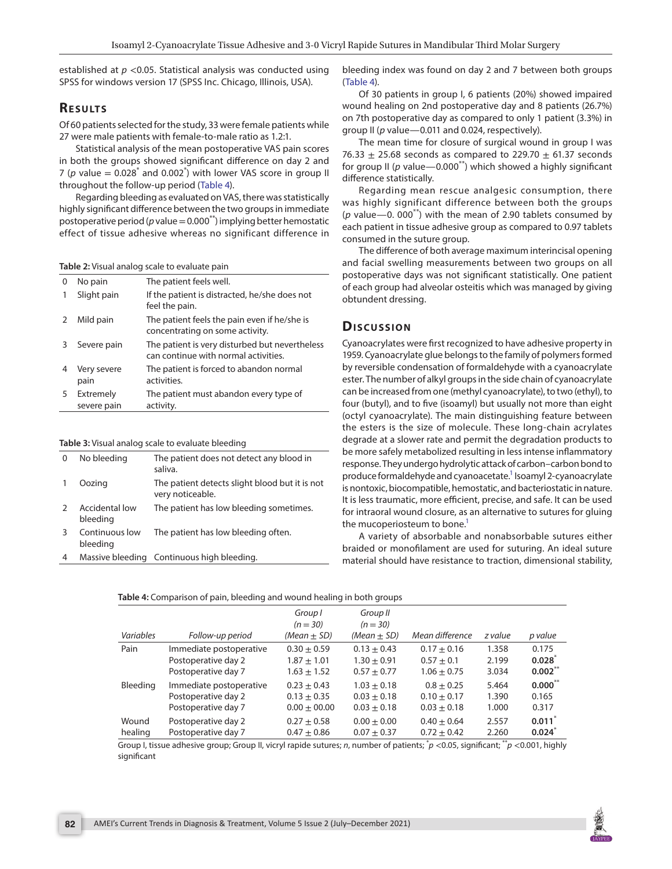established at *p* <0.05. Statistical analysis was conducted using SPSS for windows version 17 (SPSS Inc. Chicago, Illinois, USA).

# **RESULTS**

Of 60 patients selected for the study, 33 were female patients while 27 were male patients with female-to-male ratio as 1.2:1.

Statistical analysis of the mean postoperative VAS pain scores in both the groups showed significant difference on day 2 and 7 (p value  $= 0.028^*$  and 0.002<sup>\*</sup>) with lower VAS score in group II throughout the follow-up period ([Table 4](#page-2-2)).

Regarding bleeding as evaluated on VAS, there was statistically highly significant difference between the two groups in immediate postoperative period ( $p$  value =  $0.000^{**}$ ) implying better hemostatic effect of tissue adhesive whereas no significant difference in

<span id="page-2-0"></span>**Table 2:** Visual analog scale to evaluate pain

| 0 | No pain                  | The patient feels well.                                                                |
|---|--------------------------|----------------------------------------------------------------------------------------|
|   | Slight pain              | If the patient is distracted, he/she does not<br>feel the pain.                        |
|   | Mild pain                | The patient feels the pain even if he/she is<br>concentrating on some activity.        |
| 3 | Severe pain              | The patient is very disturbed but nevertheless<br>can continue with normal activities. |
| 4 | Very severe<br>pain      | The patient is forced to abandon normal<br>activities.                                 |
| 5 | Extremely<br>severe pain | The patient must abandon every type of<br>activity.                                    |

#### <span id="page-2-1"></span>**Table 3:** Visual analog scale to evaluate bleeding

| 0            | No bleeding                | The patient does not detect any blood in<br>saliva.                |
|--------------|----------------------------|--------------------------------------------------------------------|
| $\mathbf{1}$ | Oozing                     | The patient detects slight blood but it is not<br>very noticeable. |
|              | Accidental low<br>bleeding | The patient has low bleeding sometimes.                            |
| 3            | Continuous low<br>bleeding | The patient has low bleeding often.                                |
| 4            |                            | Massive bleeding Continuous high bleeding.                         |

bleeding index was found on day 2 and 7 between both groups ([Table 4](#page-2-2)).

Of 30 patients in group I, 6 patients (20%) showed impaired wound healing on 2nd postoperative day and 8 patients (26.7%) on 7th postoperative day as compared to only 1 patient (3.3%) in group II (*p* value—0.011 and 0.024, respectively).

The mean time for closure of surgical wound in group I was 76.33  $\pm$  25.68 seconds as compared to 229.70  $\pm$  61.37 seconds for group II ( $p$  value—0.000<sup>\*\*</sup>) which showed a highly significant difference statistically.

Regarding mean rescue analgesic consumption, there was highly significant difference between both the groups (*p* value—0. 000\*\*) with the mean of 2.90 tablets consumed by each patient in tissue adhesive group as compared to 0.97 tablets consumed in the suture group.

The difference of both average maximum interincisal opening and facial swelling measurements between two groups on all postoperative days was not significant statistically. One patient of each group had alveolar osteitis which was managed by giving obtundent dressing.

## **Dis c u s sio n**

Cyanoacrylates were first recognized to have adhesive property in 1959. Cyanoacrylate glue belongs to the family of polymers formed by reversible condensation of formaldehyde with a cyanoacrylate ester. The number of alkyl groups in the side chain of cyanoacrylate can be increased from one (methyl cyanoacrylate), to two (ethyl), to four (butyl), and to five (isoamyl) but usually not more than eight (octyl cyanoacrylate). The main distinguishing feature between the esters is the size of molecule. These long-chain acrylates degrade at a slower rate and permit the degradation products to be more safely metabolized resulting in less intense inflammatory response. They undergo hydrolytic attack of carbon–carbon bond to produce formaldehyde and cyanoacetate.<sup>1</sup> Isoamyl 2-cyanoacrylate is nontoxic, biocompatible, hemostatic, and bacteriostatic in nature. It is less traumatic, more efficient, precise, and safe. It can be used for intraoral wound closure, as an alternative to sutures for gluing the mucoperiosteum to bone.<sup>1</sup>

A variety of absorbable and nonabsorbable sutures either braided or monofilament are used for suturing. An ideal suture material should have resistance to traction, dimensional stability,

<span id="page-2-2"></span>

| Table 4: Comparison of pain, bleeding and wound healing in both groups |  |
|------------------------------------------------------------------------|--|
|                                                                        |  |

|           |                         | Group I<br>$(n = 30)$ | Group II<br>$(n = 30)$ |                 |         |              |
|-----------|-------------------------|-----------------------|------------------------|-----------------|---------|--------------|
| Variables | Follow-up period        | (Mean $\pm$ SD)       | (Mean $\pm$ SD)        | Mean difference | z value | p value      |
| Pain      | Immediate postoperative | $0.30 + 0.59$         | $0.13 + 0.43$          | $0.17 + 0.16$   | 1.358   | 0.175        |
|           | Postoperative day 2     | $1.87 \pm 1.01$       | $1.30 + 0.91$          | $0.57 + 0.1$    | 2.199   | 0.028        |
|           | Postoperative day 7     | $1.63 \pm 1.52$       | $0.57 \pm 0.77$        | $1.06 \pm 0.75$ | 3.034   | $0.002$ **   |
| Bleeding  | Immediate postoperative | $0.23 + 0.43$         | $1.03 + 0.18$          | $0.8 + 0.25$    | 5.464   | $0.000^{**}$ |
|           | Postoperative day 2     | $0.13 + 0.35$         | $0.03 + 0.18$          | $0.10 + 0.17$   | 1.390   | 0.165        |
|           | Postoperative day 7     | $0.00 \pm 00.00$      | $0.03 \pm 0.18$        | $0.03 \pm 0.18$ | 1.000   | 0.317        |
| Wound     | Postoperative day 2     | $0.27 + 0.58$         | $0.00 + 0.00$          | $0.40 + 0.64$   | 2.557   | 0.011        |
| healing   | Postoperative day 7     | $0.47 + 0.86$         | $0.07 + 0.37$          | $0.72 + 0.42$   | 2.260   | $0.024^{r}$  |

Group I, tissue adhesive group; Group II, vicryl rapide sutures; *n*, number of patients; \* *p* <0.05, significant; \*\**p* <0.001, highly significant

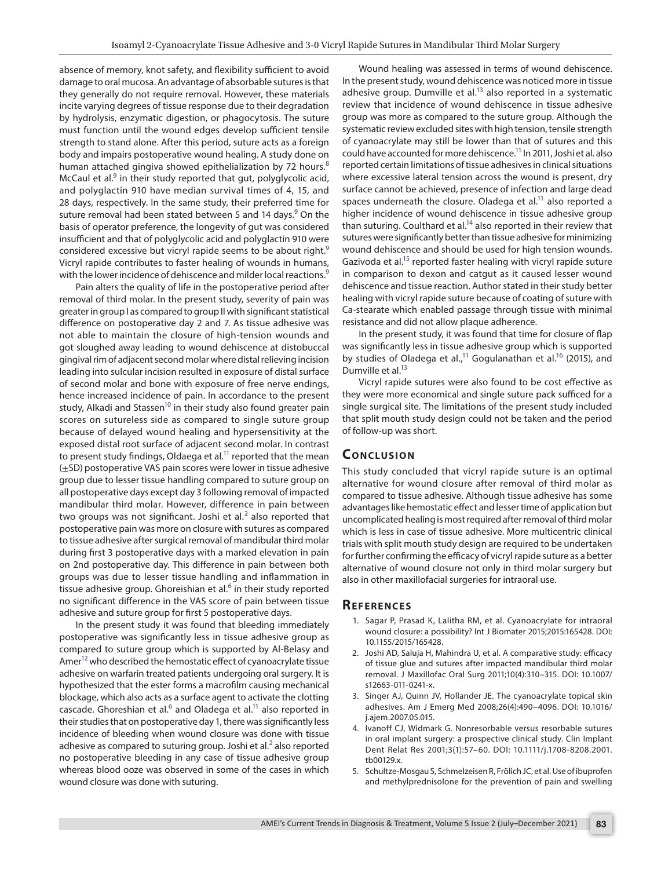absence of memory, knot safety, and flexibility sufficient to avoid damage to oral mucosa. An advantage of absorbable sutures is that they generally do not require removal. However, these materials incite varying degrees of tissue response due to their degradation by hydrolysis, enzymatic digestion, or phagocytosis. The suture must function until the wound edges develop sufficient tensile strength to stand alone. After this period, suture acts as a foreign body and impairs postoperative wound healing. A study done on human attached gingiva showed epithelialization by 72 hours.<sup>[8](#page-4-7)</sup> McCaul et al.<sup>9</sup> in their study reported that gut, polyglycolic acid, and polyglactin 910 have median survival times of 4, 15, and 28 days, respectively. In the same study, their preferred time for suture removal had been stated between 5 and 14 days.<sup>9</sup> On the basis of operator preference, the longevity of gut was considered insufficient and that of polyglycolic acid and polyglactin 910 were considered excessive but vicryl rapide seems to be about right.<sup>[9](#page-4-8)</sup> Vicryl rapide contributes to faster healing of wounds in humans, with the lower incidence of dehiscence and milder local reactions.<sup>[9](#page-4-8)</sup>

Pain alters the quality of life in the postoperative period after removal of third molar. In the present study, severity of pain was greater in group I as compared to group II with significant statistical difference on postoperative day 2 and 7. As tissue adhesive was not able to maintain the closure of high-tension wounds and got sloughed away leading to wound dehiscence at distobuccal gingival rim of adjacent second molar where distal relieving incision leading into sulcular incision resulted in exposure of distal surface of second molar and bone with exposure of free nerve endings, hence increased incidence of pain. In accordance to the present study, Alkadi and Stassen<sup>10</sup> in their study also found greater pain scores on sutureless side as compared to single suture group because of delayed wound healing and hypersensitivity at the exposed distal root surface of adjacent second molar. In contrast to present study findings, Oldaega et al.<sup>11</sup> reported that the mean  $(\pm$ SD) postoperative VAS pain scores were lower in tissue adhesive group due to lesser tissue handling compared to suture group on all postoperative days except day 3 following removal of impacted mandibular third molar. However, difference in pain between two groups was not significant. Joshi et al. $^2$  $^2$  also reported that postoperative pain was more on closure with sutures as compared to tissue adhesive after surgical removal of mandibular third molar during first 3 postoperative days with a marked elevation in pain on 2nd postoperative day. This difference in pain between both groups was due to lesser tissue handling and inflammation in tissue adhesive group. Ghoreishian et al.<sup>[6](#page-4-0)</sup> in their study reported no significant difference in the VAS score of pain between tissue adhesive and suture group for first 5 postoperative days.

In the present study it was found that bleeding immediately postoperative was significantly less in tissue adhesive group as compared to suture group which is supported by Al-Belasy and Amer<sup>12</sup> who described the hemostatic effect of cyanoacrylate tissue adhesive on warfarin treated patients undergoing oral surgery. It is hypothesized that the ester forms a macrofilm causing mechanical blockage, which also acts as a surface agent to activate the clotting cascade. Ghoreshian et al. $^6$  $^6$  and Oladega et al. $^{11}$  also reported in their studies that on postoperative day 1, there was significantly less incidence of bleeding when wound closure was done with tissue adhesive as compared to suturing group. Joshi et al.<sup>[2](#page-3-1)</sup> also reported no postoperative bleeding in any case of tissue adhesive group whereas blood ooze was observed in some of the cases in which wound closure was done with suturing.

Wound healing was assessed in terms of wound dehiscence. In the present study, wound dehiscence was noticed more in tissue adhesive group. Dumville et  $al.^{13}$  also reported in a systematic review that incidence of wound dehiscence in tissue adhesive group was more as compared to the suture group. Although the systematic review excluded sites with high tension, tensile strength of cyanoacrylate may still be lower than that of sutures and this could have accounted for more dehiscence.<sup>11</sup> In 2011, Joshi et al. also reported certain limitations of tissue adhesives in clinical situations where excessive lateral tension across the wound is present, dry surface cannot be achieved, presence of infection and large dead spaces underneath the closure. Oladega et  $al$ <sup>11</sup> also reported a higher incidence of wound dehiscence in tissue adhesive group than suturing. Coulthard et al.<sup>14</sup> also reported in their review that sutures were significantly better than tissue adhesive for minimizing wound dehiscence and should be used for high tension wounds. Gazivoda et al.<sup>15</sup> reported faster healing with vicryl rapide suture in comparison to dexon and catgut as it caused lesser wound dehiscence and tissue reaction. Author stated in their study better healing with vicryl rapide suture because of coating of suture with Ca-stearate which enabled passage through tissue with minimal resistance and did not allow plaque adherence.

In the present study, it was found that time for closure of flap was significantly less in tissue adhesive group which is supported by studies of Oladega et al.,<sup>11</sup> Gogulanathan et al.<sup>16</sup> (2015), and Dumville et al.<sup>13</sup>

Vicryl rapide sutures were also found to be cost effective as they were more economical and single suture pack sufficed for a single surgical site. The limitations of the present study included that split mouth study design could not be taken and the period of follow-up was short.

## **CONCLUSION**

This study concluded that vicryl rapide suture is an optimal alternative for wound closure after removal of third molar as compared to tissue adhesive. Although tissue adhesive has some advantages like hemostatic effect and lesser time of application but uncomplicated healing is most required after removal of third molar which is less in case of tissue adhesive. More multicentric clinical trials with split mouth study design are required to be undertaken for further confirming the efficacy of vicryl rapide suture as a better alternative of wound closure not only in third molar surgery but also in other maxillofacial surgeries for intraoral use.

### **REFERENCES**

- <span id="page-3-0"></span>1. Sagar P, Prasad K, Lalitha RM, et al. Cyanoacrylate for intraoral wound closure: a possibility? Int J Biomater 2015;2015:165428. DOI: 10.1155/2015/165428.
- <span id="page-3-1"></span>2. Joshi AD, Saluja H, Mahindra U, et al. A comparative study: efficacy of tissue glue and sutures after impacted mandibular third molar removal. J Maxillofac Oral Surg 2011;10(4):310–315. DOI: 10.1007/ s12663-011-0241-x.
- <span id="page-3-2"></span>3. Singer AJ, Quinn JV, Hollander JE. The cyanoacrylate topical skin adhesives. Am J Emerg Med 2008;26(4):490–4096. DOI: 10.1016/ j.ajem.2007.05.015.
- <span id="page-3-3"></span>4. Ivanoff CJ, Widmark G. Nonresorbable versus resorbable sutures in oral implant surgery: a prospective clinical study. Clin Implant Dent Relat Res 2001;3(1):57–60. DOI: 10.1111/j.1708-8208.2001. tb00129.x.
- <span id="page-3-4"></span>5. Schultze-Mosgau S, Schmelzeisen R, Frölich JC, et al. Use of ibuprofen and methylprednisolone for the prevention of pain and swelling